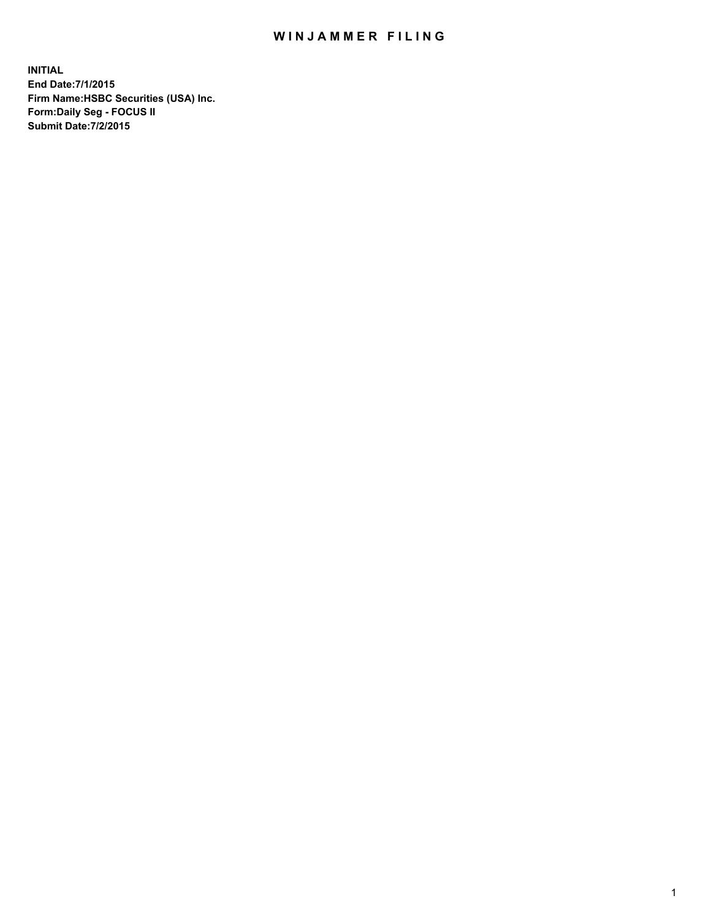## WIN JAMMER FILING

**INITIAL End Date:7/1/2015 Firm Name:HSBC Securities (USA) Inc. Form:Daily Seg - FOCUS II Submit Date:7/2/2015**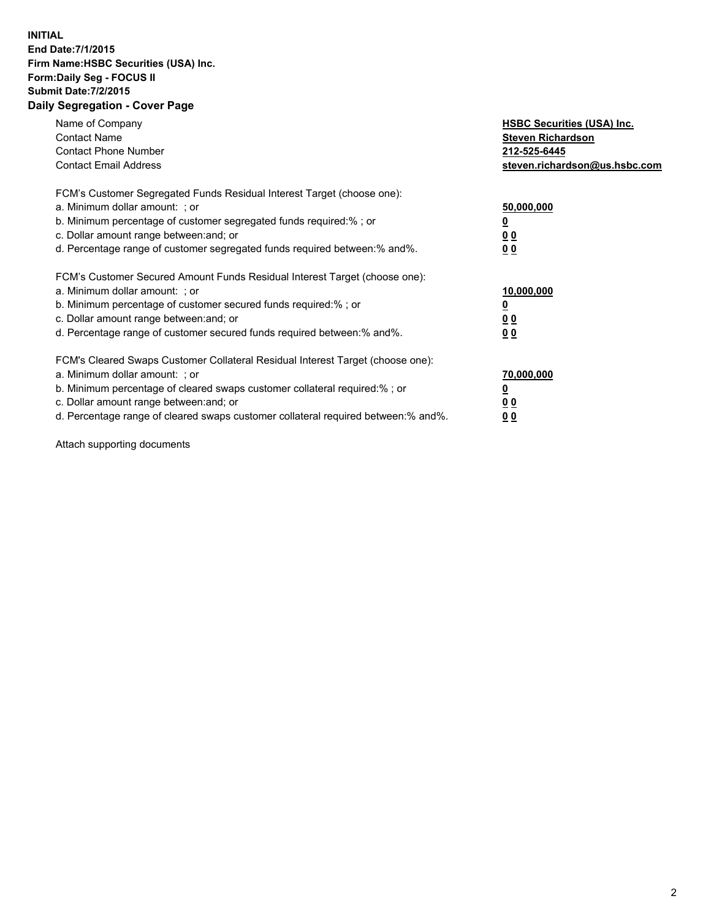## **INITIAL End Date:7/1/2015 Firm Name:HSBC Securities (USA) Inc. Form:Daily Seg - FOCUS II Submit Date:7/2/2015 Daily Segregation - Cover Page**

| Name of Company<br><b>Contact Name</b><br><b>Contact Phone Number</b><br><b>Contact Email Address</b>                                                                                                                                                                                                                          | <b>HSBC Securities (USA) Inc.</b><br><b>Steven Richardson</b><br>212-525-6445<br>steven.richardson@us.hsbc.com |
|--------------------------------------------------------------------------------------------------------------------------------------------------------------------------------------------------------------------------------------------------------------------------------------------------------------------------------|----------------------------------------------------------------------------------------------------------------|
| FCM's Customer Segregated Funds Residual Interest Target (choose one):<br>a. Minimum dollar amount: ; or<br>b. Minimum percentage of customer segregated funds required:%; or<br>c. Dollar amount range between: and; or<br>d. Percentage range of customer segregated funds required between:% and%.                          | 50,000,000<br>00<br>00                                                                                         |
| FCM's Customer Secured Amount Funds Residual Interest Target (choose one):<br>a. Minimum dollar amount: ; or<br>b. Minimum percentage of customer secured funds required:%; or<br>c. Dollar amount range between: and; or<br>d. Percentage range of customer secured funds required between:% and%.                            | 10,000,000<br>0 <sub>0</sub><br>00                                                                             |
| FCM's Cleared Swaps Customer Collateral Residual Interest Target (choose one):<br>a. Minimum dollar amount: ; or<br>b. Minimum percentage of cleared swaps customer collateral required:% ; or<br>c. Dollar amount range between: and; or<br>d. Percentage range of cleared swaps customer collateral required between:% and%. | 70,000,000<br><u>00</u><br><u>00</u>                                                                           |

Attach supporting documents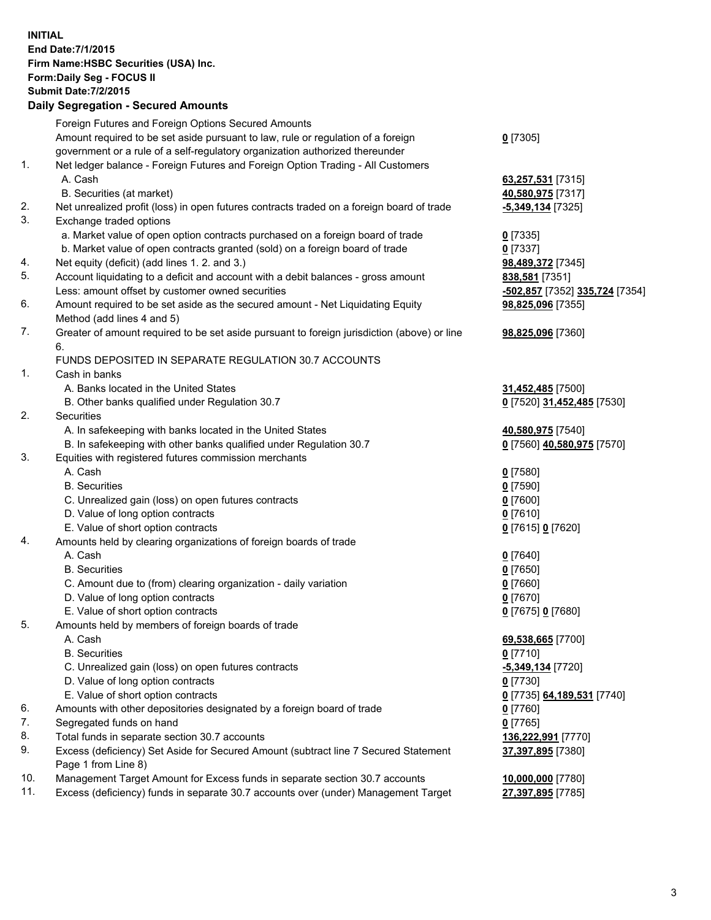**INITIAL End Date:7/1/2015 Firm Name:HSBC Securities (USA) Inc. Form:Daily Seg - FOCUS II Submit Date:7/2/2015 Daily Segregation - Secured Amounts** Foreign Futures and Foreign Options Secured Amounts Amount required to be set aside pursuant to law, rule or regulation of a foreign government or a rule of a self-regulatory organization authorized thereunder **0** [7305] 1. Net ledger balance - Foreign Futures and Foreign Option Trading - All Customers A. Cash **63,257,531** [7315] B. Securities (at market) **40,580,975** [7317] 2. Net unrealized profit (loss) in open futures contracts traded on a foreign board of trade **-5,349,134** [7325] 3. Exchange traded options a. Market value of open option contracts purchased on a foreign board of trade **0** [7335] b. Market value of open contracts granted (sold) on a foreign board of trade **0** [7337] 4. Net equity (deficit) (add lines 1. 2. and 3.) **98,489,372** [7345] 5. Account liquidating to a deficit and account with a debit balances - gross amount **838,581** [7351] Less: amount offset by customer owned securities **-502,857** [7352] **335,724** [7354] 6. Amount required to be set aside as the secured amount - Net Liquidating Equity Method (add lines 4 and 5) **98,825,096** [7355] 7. Greater of amount required to be set aside pursuant to foreign jurisdiction (above) or line 6. **98,825,096** [7360] FUNDS DEPOSITED IN SEPARATE REGULATION 30.7 ACCOUNTS 1. Cash in banks A. Banks located in the United States **31,452,485** [7500] B. Other banks qualified under Regulation 30.7 **0** [7520] **31,452,485** [7530] 2. Securities A. In safekeeping with banks located in the United States **40,580,975** [7540] B. In safekeeping with other banks qualified under Regulation 30.7 **0** [7560] **40,580,975** [7570] 3. Equities with registered futures commission merchants A. Cash **0** [7580] B. Securities **0** [7590] C. Unrealized gain (loss) on open futures contracts **0** [7600] D. Value of long option contracts **0** [7610] E. Value of short option contracts **0** [7615] **0** [7620] 4. Amounts held by clearing organizations of foreign boards of trade A. Cash **0** [7640] B. Securities **0** [7650] C. Amount due to (from) clearing organization - daily variation **0** [7660] D. Value of long option contracts **0** [7670] E. Value of short option contracts **0** [7675] **0** [7680] 5. Amounts held by members of foreign boards of trade A. Cash **69,538,665** [7700] B. Securities **0** [7710] C. Unrealized gain (loss) on open futures contracts **-5,349,134** [7720] D. Value of long option contracts **0** [7730] E. Value of short option contracts **0** [7735] **64,189,531** [7740] 6. Amounts with other depositories designated by a foreign board of trade **0** [7760] 7. Segregated funds on hand **0** [7765] 8. Total funds in separate section 30.7 accounts **136,222,991** [7770] 9. Excess (deficiency) Set Aside for Secured Amount (subtract line 7 Secured Statement Page 1 from Line 8) **37,397,895** [7380] 10. Management Target Amount for Excess funds in separate section 30.7 accounts **10,000,000** [7780] 11. Excess (deficiency) funds in separate 30.7 accounts over (under) Management Target **27,397,895** [7785]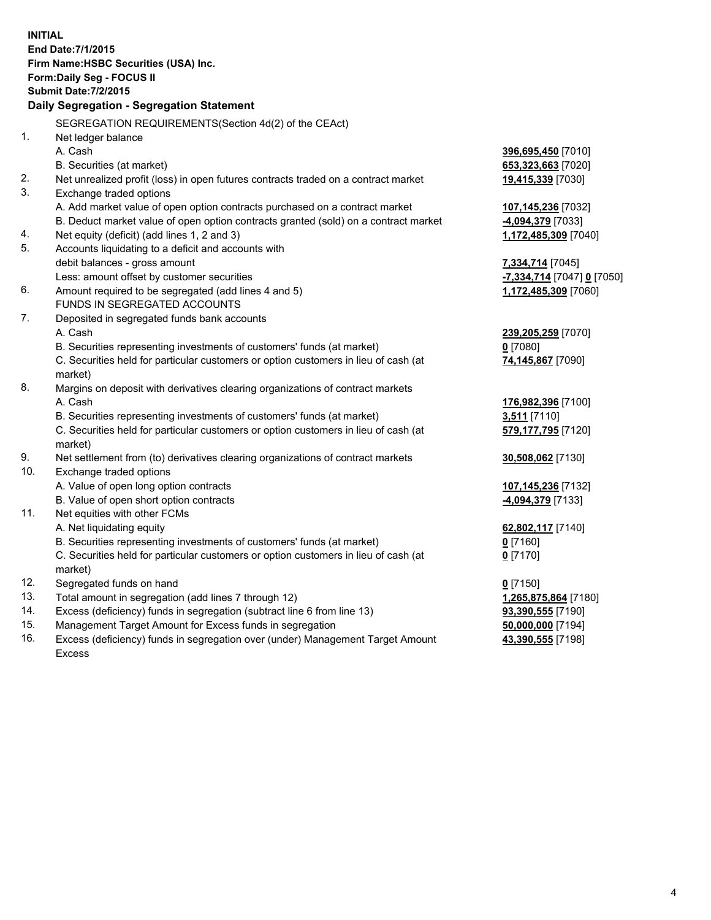| <b>INITIAL</b> | End Date: 7/1/2015<br>Firm Name: HSBC Securities (USA) Inc.<br>Form: Daily Seg - FOCUS II<br><b>Submit Date: 7/2/2015</b><br>Daily Segregation - Segregation Statement |                                          |
|----------------|------------------------------------------------------------------------------------------------------------------------------------------------------------------------|------------------------------------------|
|                | SEGREGATION REQUIREMENTS(Section 4d(2) of the CEAct)                                                                                                                   |                                          |
| 1.             | Net ledger balance                                                                                                                                                     |                                          |
|                | A. Cash                                                                                                                                                                | 396,695,450 [7010]                       |
|                | B. Securities (at market)                                                                                                                                              | 653,323,663 [7020]                       |
| 2.             | Net unrealized profit (loss) in open futures contracts traded on a contract market                                                                                     | 19,415,339 [7030]                        |
| 3.             | Exchange traded options                                                                                                                                                |                                          |
|                | A. Add market value of open option contracts purchased on a contract market                                                                                            | 107,145,236 [7032]                       |
|                | B. Deduct market value of open option contracts granted (sold) on a contract market                                                                                    | -4,094,379 [7033]                        |
| 4.             | Net equity (deficit) (add lines 1, 2 and 3)                                                                                                                            | 1,172,485,309 [7040]                     |
| 5.             | Accounts liquidating to a deficit and accounts with                                                                                                                    |                                          |
|                | debit balances - gross amount                                                                                                                                          | 7,334,714 [7045]                         |
|                | Less: amount offset by customer securities                                                                                                                             | <b>-7,334,714</b> [7047] <b>0</b> [7050] |
| 6.             | Amount required to be segregated (add lines 4 and 5)                                                                                                                   | 1,172,485,309 [7060]                     |
|                | FUNDS IN SEGREGATED ACCOUNTS                                                                                                                                           |                                          |
| 7.             | Deposited in segregated funds bank accounts                                                                                                                            |                                          |
|                | A. Cash                                                                                                                                                                | 239,205,259 [7070]                       |
|                | B. Securities representing investments of customers' funds (at market)                                                                                                 | $0$ [7080]                               |
|                | C. Securities held for particular customers or option customers in lieu of cash (at                                                                                    | 74,145,867 [7090]                        |
|                | market)                                                                                                                                                                |                                          |
| 8.             | Margins on deposit with derivatives clearing organizations of contract markets                                                                                         |                                          |
|                | A. Cash                                                                                                                                                                | 176,982,396 [7100]                       |
|                | B. Securities representing investments of customers' funds (at market)                                                                                                 | 3,511 [7110]                             |
|                | C. Securities held for particular customers or option customers in lieu of cash (at                                                                                    | 579,177,795 [7120]                       |
|                | market)                                                                                                                                                                |                                          |
| 9.             | Net settlement from (to) derivatives clearing organizations of contract markets                                                                                        | 30,508,062 [7130]                        |
| 10.            | Exchange traded options                                                                                                                                                |                                          |
|                | A. Value of open long option contracts                                                                                                                                 | 107,145,236 [7132]                       |
|                | B. Value of open short option contracts                                                                                                                                | -4,094,379 [7133]                        |
| 11.            | Net equities with other FCMs                                                                                                                                           |                                          |
|                | A. Net liquidating equity                                                                                                                                              | 62,802,117 [7140]                        |
|                | B. Securities representing investments of customers' funds (at market)                                                                                                 | 0 [7160]                                 |
|                | C. Securities held for particular customers or option customers in lieu of cash (at<br>market)                                                                         | $0$ [7170]                               |
| 12.            | Segregated funds on hand                                                                                                                                               | $0$ [7150]                               |
| 13.            | Total amount in segregation (add lines 7 through 12)                                                                                                                   | 1,265,875,864 [7180]                     |
| 14.            | Excess (deficiency) funds in segregation (subtract line 6 from line 13)                                                                                                | 93,390,555 [7190]                        |
| 15.            | Management Target Amount for Excess funds in segregation                                                                                                               | 50,000,000 [7194]                        |
| 16.            | Excess (deficiency) funds in segregation over (under) Management Target Amount                                                                                         | 43,390,555 [7198]                        |

16. Excess (deficiency) funds in segregation over (under) Management Target Amount Excess